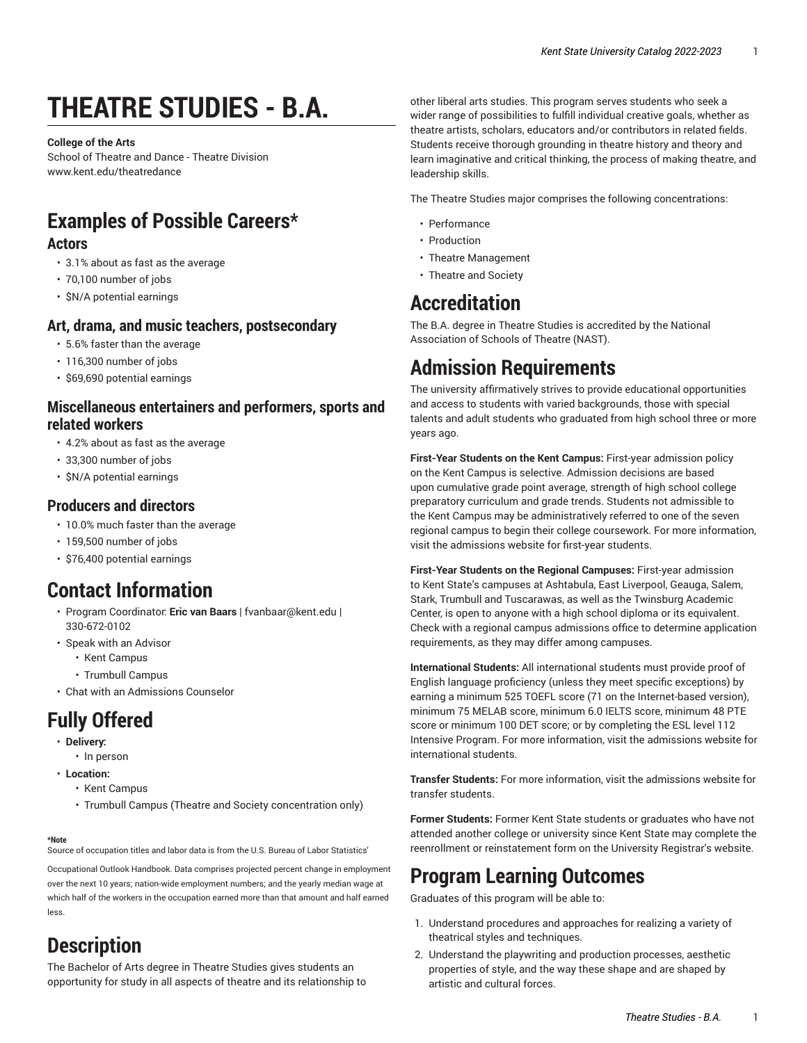# **THEATRE STUDIES - B.A.**

**College of the Arts** School of Theatre and Dance - Theatre Division [www.kent.edu/theatredance](http://www.kent.edu/theatredance/)

### **Examples of Possible Careers\***

#### **Actors**

- 3.1% about as fast as the average
- 70,100 number of jobs
- \$N/A potential earnings

#### **Art, drama, and music teachers, postsecondary**

- 5.6% faster than the average
- 116,300 number of jobs
- \$69,690 potential earnings

#### **Miscellaneous entertainers and performers, sports and related workers**

- 4.2% about as fast as the average
- 33,300 number of jobs
- \$N/A potential earnings

#### **Producers and directors**

- 10.0% much faster than the average
- 159,500 number of jobs
- \$76,400 potential earnings

### **Contact Information**

- Program Coordinator: **Eric van Baars** | [fvanbaar@kent.edu](mailto:fvanbaar@kent.edu) | 330-672-0102
- Speak with an Advisor
	- Kent [Campus](https://www.kent.edu/artscollege/students/advising/)
	- [Trumbull](https://www.kent.edu/trumbull/academic-advising/) Campus
- [Chat with an Admissions Counselor](https://www.kent.edu/admissions/undergraduate/schedule-visit/)

## **Fully Offered**

- **Delivery:**
	- In person
- **Location:**
	- Kent Campus
	- Trumbull Campus (Theatre and Society concentration only)

#### **\*Note**

Source of occupation titles and labor data is from the U.S. Bureau of Labor Statistics'

[Occupational Outlook Handbook](https://data.bls.gov/projections/occupationProj/). Data comprises projected percent change in employment over the next 10 years; nation-wide employment numbers; and the yearly median wage at which half of the workers in the occupation earned more than that amount and half earned less.

### **Description**

The Bachelor of Arts degree in Theatre Studies gives students an opportunity for study in all aspects of theatre and its relationship to

other liberal arts studies. This program serves students who seek a wider range of possibilities to fulfill individual creative goals, whether as theatre artists, scholars, educators and/or contributors in related fields. Students receive thorough grounding in theatre history and theory and learn imaginative and critical thinking, the process of making theatre, and leadership skills.

The Theatre Studies major comprises the following concentrations:

- Performance
- Production
- Theatre Management
- Theatre and Society

### **Accreditation**

The B.A. degree in Theatre Studies is accredited by the National Association of Schools of Theatre (NAST).

### **Admission Requirements**

The university affirmatively strives to provide educational opportunities and access to students with varied backgrounds, those with special talents and adult students who graduated from high school three or more years ago.

**First-Year Students on the Kent Campus:** First-year admission policy on the Kent Campus is selective. Admission decisions are based upon cumulative grade point average, strength of high school college preparatory curriculum and grade trends. Students not admissible to the Kent Campus may be administratively referred to one of the seven regional campus to begin their college coursework. For more information, visit the [admissions](http://www.kent.edu/node/951533/) website for first-year students.

**First-Year Students on the Regional Campuses:** First-year admission to Kent State's campuses at Ashtabula, East Liverpool, Geauga, Salem, Stark, Trumbull and Tuscarawas, as well as the Twinsburg Academic Center, is open to anyone with a high school diploma or its equivalent. Check with a regional campus admissions office to determine application requirements, as they may differ among campuses.

**International Students:** All international students must provide proof of English language proficiency (unless they meet specific exceptions) by earning a minimum 525 TOEFL score (71 on the Internet-based version), minimum 75 MELAB score, minimum 6.0 IELTS score, minimum 48 PTE score or minimum 100 DET score; or by completing the ESL level 112 Intensive Program. For more information, visit the [admissions website for](http://www.kent.edu/globaleducation/international-admissions/) [international students.](http://www.kent.edu/globaleducation/international-admissions/)

**Transfer Students:** For more information, visit the [admissions website for](https://www.kent.edu/admissions/?au=transfer) transfer [students](https://www.kent.edu/admissions/?au=transfer).

**Former Students:** Former Kent State students or graduates who have not attended another college or university since Kent State may complete the reenrollment or reinstatement form on the University [Registrar's](https://www.kent.edu/node/67516/) website.

### **Program Learning Outcomes**

Graduates of this program will be able to:

- 1. Understand procedures and approaches for realizing a variety of theatrical styles and techniques.
- 2. Understand the playwriting and production processes, aesthetic properties of style, and the way these shape and are shaped by artistic and cultural forces.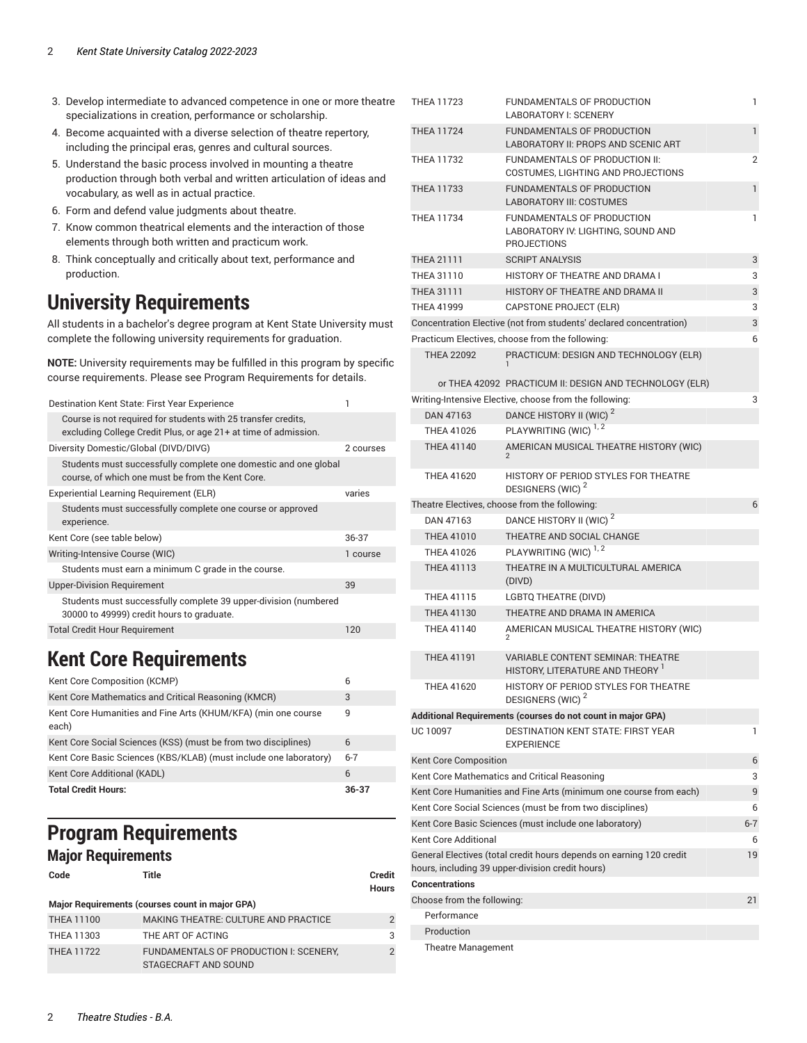- 3. Develop intermediate to advanced competence in one or more theatre specializations in creation, performance or scholarship.
- 4. Become acquainted with a diverse selection of theatre repertory, including the principal eras, genres and cultural sources.
- 5. Understand the basic process involved in mounting a theatre production through both verbal and written articulation of ideas and vocabulary, as well as in actual practice.
- 6. Form and defend value judgments about theatre.
- 7. Know common theatrical elements and the interaction of those elements through both written and practicum work.
- 8. Think conceptually and critically about text, performance and production.

### **University Requirements**

All students in a bachelor's degree program at Kent State University must complete the following university requirements for graduation.

**NOTE:** University requirements may be fulfilled in this program by specific course requirements. Please see Program Requirements for details.

| Destination Kent State: First Year Experience                                                                                    |           |
|----------------------------------------------------------------------------------------------------------------------------------|-----------|
| Course is not required for students with 25 transfer credits.<br>excluding College Credit Plus, or age 21+ at time of admission. |           |
| Diversity Domestic/Global (DIVD/DIVG)                                                                                            | 2 courses |
| Students must successfully complete one domestic and one global<br>course, of which one must be from the Kent Core.              |           |
| Experiential Learning Requirement (ELR)                                                                                          | varies    |
| Students must successfully complete one course or approved<br>experience.                                                        |           |
| Kent Core (see table below)                                                                                                      | 36-37     |
| Writing-Intensive Course (WIC)                                                                                                   | 1 course  |
| Students must earn a minimum C grade in the course.                                                                              |           |
| <b>Upper-Division Requirement</b>                                                                                                | 39        |
| Students must successfully complete 39 upper-division (numbered<br>30000 to 49999) credit hours to graduate.                     |           |
| <b>Total Credit Hour Requirement</b>                                                                                             | 120       |

### <span id="page-1-0"></span>**Kent Core Requirements**

| Kent Core Composition (KCMP)                                           |         |
|------------------------------------------------------------------------|---------|
| Kent Core Mathematics and Critical Reasoning (KMCR)                    | 3       |
| Kent Core Humanities and Fine Arts (KHUM/KFA) (min one course<br>each) | 9       |
| Kent Core Social Sciences (KSS) (must be from two disciplines)         | 6       |
| Kent Core Basic Sciences (KBS/KLAB) (must include one laboratory)      | $6 - 7$ |
| Kent Core Additional (KADL)                                            | 6       |
| <b>Total Credit Hours:</b>                                             | 36-37   |

#### **Program Requirements Major Requirements**

```
Code Title Credit
```

```
Hours
Major Requirements (courses count in major GPA)
THEA 11100 MAKING THEATRE: CULTURE AND PRACTICE 2
THEA 11303 THE ART OF ACTING THEAM 3
THEA 11722 FUNDAMENTALS OF PRODUCTION I: SCENERY,
              STAGECRAFT AND SOUND
                                                      2
```

| THEA 11723                                |                    | FUNDAMENTALS OF PRODUCTION                                                             | 1            |
|-------------------------------------------|--------------------|----------------------------------------------------------------------------------------|--------------|
|                                           |                    | <b>LABORATORY I: SCENERY</b>                                                           |              |
| <b>THEA 11724</b>                         |                    | <b>FUNDAMENTALS OF PRODUCTION</b><br>LABORATORY II: PROPS AND SCENIC ART               | $\mathbf{1}$ |
| <b>THEA 11732</b>                         |                    | FUNDAMENTALS OF PRODUCTION II:<br>COSTUMES, LIGHTING AND PROJECTIONS                   | 2            |
| <b>THEA 11733</b>                         |                    | <b>FUNDAMENTALS OF PRODUCTION</b><br><b>LABORATORY III: COSTUMES</b>                   | $\mathbf{1}$ |
| <b>THEA 11734</b>                         |                    | FUNDAMENTALS OF PRODUCTION<br>LABORATORY IV: LIGHTING, SOUND AND<br><b>PROJECTIONS</b> | 1            |
| <b>THEA 21111</b>                         |                    | <b>SCRIPT ANALYSIS</b>                                                                 | 3            |
| THEA 31110                                |                    | HISTORY OF THEATRE AND DRAMA I                                                         | 3            |
| <b>THEA 31111</b>                         |                    | HISTORY OF THEATRE AND DRAMA II                                                        | 3            |
| <b>THEA 41999</b>                         |                    | CAPSTONE PROJECT (ELR)                                                                 | 3            |
|                                           |                    | Concentration Elective (not from students' declared concentration)                     | 3            |
|                                           |                    | Practicum Electives, choose from the following:                                        | 6            |
| <b>THEA 22092</b>                         |                    | PRACTICUM: DESIGN AND TECHNOLOGY (ELR)                                                 |              |
|                                           |                    | or THEA 42092 PRACTICUM II: DESIGN AND TECHNOLOGY (ELR)                                |              |
|                                           |                    | Writing-Intensive Elective, choose from the following:                                 | 3            |
| DAN 47163                                 |                    | DANCE HISTORY II (WIC) <sup>2</sup>                                                    |              |
| <b>THEA 41026</b>                         |                    | PLAYWRITING (WIC) <sup>1,2</sup>                                                       |              |
| <b>THEA 41140</b>                         |                    | AMERICAN MUSICAL THEATRE HISTORY (WIC)                                                 |              |
|                                           |                    |                                                                                        |              |
| <b>THEA 41620</b>                         |                    | HISTORY OF PERIOD STYLES FOR THEATRE<br>DESIGNERS (WIC) <sup>2</sup>                   |              |
|                                           |                    | Theatre Electives, choose from the following:                                          | 6            |
| DAN 47163                                 |                    | DANCE HISTORY II (WIC) <sup>2</sup>                                                    |              |
| <b>THEA 41010</b>                         |                    | THEATRE AND SOCIAL CHANGE                                                              |              |
| <b>THEA 41026</b>                         |                    | PLAYWRITING (WIC) <sup>1,2</sup>                                                       |              |
| <b>THEA 41113</b>                         |                    | THEATRE IN A MULTICULTURAL AMERICA<br>(DIVD)                                           |              |
| <b>THEA 41115</b>                         |                    | LGBTQ THEATRE (DIVD)                                                                   |              |
| THEA 41130                                |                    | THEATRE AND DRAMA IN AMERICA                                                           |              |
| <b>THEA 41140</b>                         |                    | AMERICAN MUSICAL THEATRE HISTORY (WIC)                                                 |              |
|                                           | 2                  |                                                                                        |              |
| <b>THEA 41191</b>                         |                    | <b>VARIABLE CONTENT SEMINAR: THEATRE</b><br>HISTORY, LITERATURE AND THEORY 1           |              |
| <b>THEA 41620</b>                         |                    | HISTORY OF PERIOD STYLES FOR THEATRE<br>DESIGNERS (WIC) <sup>2</sup>                   |              |
|                                           |                    | Additional Requirements (courses do not count in major GPA)                            |              |
| UC 10097                                  |                    | <b>DESTINATION KENT STATE: FIRST YEAR</b><br><b>EXPERIENCE</b>                         | 1            |
| Kent Core Composition                     |                    |                                                                                        | 6            |
|                                           |                    | Kent Core Mathematics and Critical Reasoning                                           | 3            |
|                                           |                    | Kent Core Humanities and Fine Arts (minimum one course from each)                      | 9            |
|                                           |                    | Kent Core Social Sciences (must be from two disciplines)                               | 6            |
|                                           |                    | Kent Core Basic Sciences (must include one laboratory)                                 | $6 - 7$      |
| <b>Kent Core Additional</b>               |                    |                                                                                        | 6            |
|                                           |                    | General Electives (total credit hours depends on earning 120 credit                    | 19           |
|                                           |                    | hours, including 39 upper-division credit hours)                                       |              |
| <b>Concentrations</b>                     |                    |                                                                                        |              |
| Choose from the following:<br>Performance |                    |                                                                                        | 21           |
| Production                                |                    |                                                                                        |              |
|                                           |                    |                                                                                        |              |
|                                           | Theatre Management |                                                                                        |              |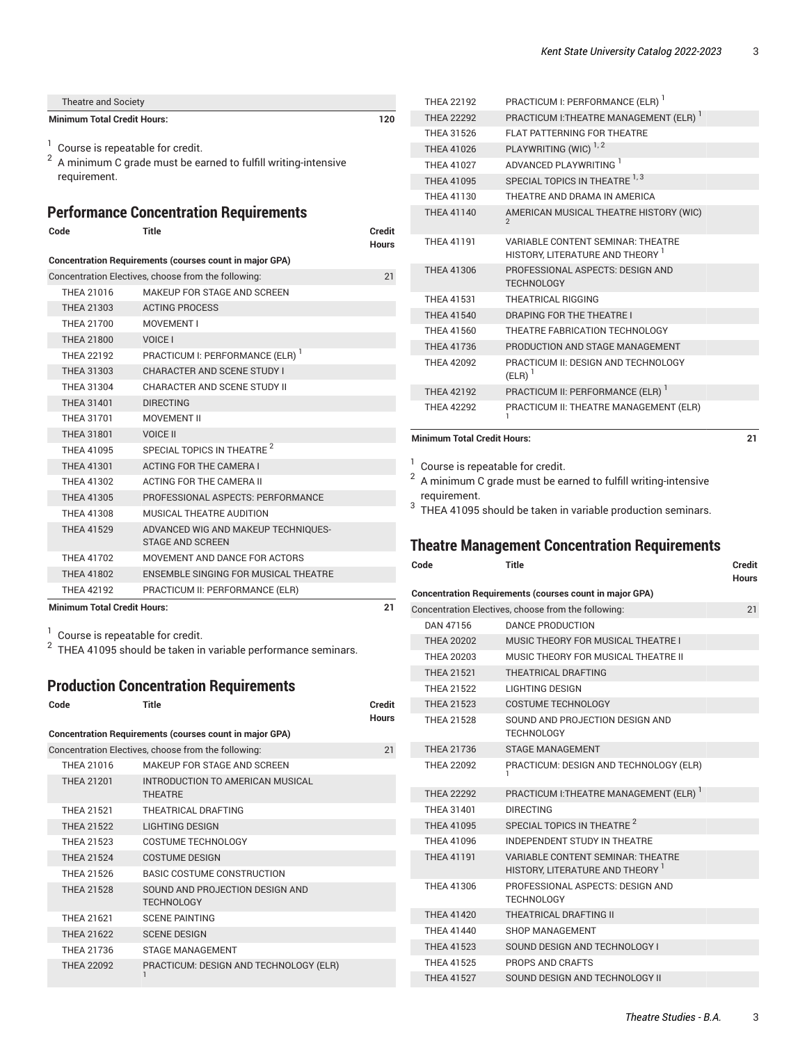| Theatre and Society                |     |
|------------------------------------|-----|
| <b>Minimum Total Credit Hours:</b> | 120 |
|                                    |     |

- $1$  Course is repeatable for credit.
- $^{\rm 2}$  A minimum C grade must be earned to fulfill writing-intensive requirement.

#### <span id="page-2-0"></span>**Performance Concentration Requirements**

| Code                                                           | <b>Title</b>                                                   | Credit<br><b>Hours</b> |  |  |  |
|----------------------------------------------------------------|----------------------------------------------------------------|------------------------|--|--|--|
| <b>Concentration Requirements (courses count in major GPA)</b> |                                                                |                        |  |  |  |
|                                                                | Concentration Electives, choose from the following:            | 21                     |  |  |  |
| THEA 21016                                                     | MAKEUP FOR STAGE AND SCREEN                                    |                        |  |  |  |
| <b>THEA 21303</b>                                              | <b>ACTING PROCESS</b>                                          |                        |  |  |  |
| <b>THEA 21700</b>                                              | MOVEMENT I                                                     |                        |  |  |  |
| <b>THEA 21800</b>                                              | VOICE I                                                        |                        |  |  |  |
| <b>THEA 22192</b>                                              | PRACTICUM I: PERFORMANCE (ELR) <sup>1</sup>                    |                        |  |  |  |
| THEA 31303                                                     | <b>CHARACTER AND SCENE STUDY I</b>                             |                        |  |  |  |
| THFA 31304                                                     | CHARACTER AND SCENE STUDY II                                   |                        |  |  |  |
| <b>THEA 31401</b>                                              | <b>DIRECTING</b>                                               |                        |  |  |  |
| THFA 31701                                                     | MOVEMENT II                                                    |                        |  |  |  |
| <b>THEA 31801</b>                                              | <b>VOICE II</b>                                                |                        |  |  |  |
| THEA 41095                                                     | SPECIAL TOPICS IN THEATRE <sup>2</sup>                         |                        |  |  |  |
| <b>THEA 41301</b>                                              | <b>ACTING FOR THE CAMERA I</b>                                 |                        |  |  |  |
| THEA 41302                                                     | <b>ACTING FOR THE CAMERA II</b>                                |                        |  |  |  |
| THEA 41305                                                     | PROFESSIONAL ASPECTS: PERFORMANCE                              |                        |  |  |  |
| <b>THEA 41308</b>                                              | MUSICAL THEATRE AUDITION                                       |                        |  |  |  |
| <b>THEA 41529</b>                                              | ADVANCED WIG AND MAKEUP TECHNIQUES-<br><b>STAGE AND SCREEN</b> |                        |  |  |  |
| <b>THEA 41702</b>                                              | MOVEMENT AND DANCE FOR ACTORS                                  |                        |  |  |  |
| <b>THEA 41802</b>                                              | ENSEMBLE SINGING FOR MUSICAL THEATRE                           |                        |  |  |  |
| <b>THEA 42192</b>                                              | PRACTICUM II: PERFORMANCE (ELR)                                |                        |  |  |  |

**Minimum Total Credit Hours: 21**

<sup>1</sup> Course is repeatable for credit.<br><sup>2</sup> THEA 41095 should be taken in variable performance seminars.

# <span id="page-2-1"></span>**Production Concentration Requirements**

| Code                                                           | Title                                                | Credit<br><b>Hours</b> |  |  |  |
|----------------------------------------------------------------|------------------------------------------------------|------------------------|--|--|--|
| <b>Concentration Requirements (courses count in major GPA)</b> |                                                      |                        |  |  |  |
|                                                                | Concentration Electives, choose from the following:  | 21                     |  |  |  |
| THFA 21016                                                     | MAKEUP FOR STAGE AND SCREEN                          |                        |  |  |  |
| <b>THEA 21201</b>                                              | INTRODUCTION TO AMERICAN MUSICAL<br><b>THFATRF</b>   |                        |  |  |  |
| THFA 21521                                                     | THEATRICAL DRAFTING                                  |                        |  |  |  |
| <b>THEA 21522</b>                                              | LIGHTING DESIGN                                      |                        |  |  |  |
| THFA 21523                                                     | COSTUME TECHNOLOGY                                   |                        |  |  |  |
| <b>THFA 21524</b>                                              | <b>COSTUME DESIGN</b>                                |                        |  |  |  |
| THFA 21526                                                     | BASIC COSTUME CONSTRUCTION                           |                        |  |  |  |
| <b>THEA 21528</b>                                              | SOUND AND PROJECTION DESIGN AND<br><b>TECHNOLOGY</b> |                        |  |  |  |
| THFA 21621                                                     | <b>SCENE PAINTING</b>                                |                        |  |  |  |
| <b>THEA 21622</b>                                              | <b>SCENE DESIGN</b>                                  |                        |  |  |  |
| THFA 21736                                                     | <b>STAGE MANAGEMENT</b>                              |                        |  |  |  |
| THFA 22092                                                     | PRACTICUM: DESIGN AND TECHNOLOGY (ELR)               |                        |  |  |  |

| <b>THEA 22192</b> | PRACTICUM I: PERFORMANCE (ELR) <sup>1</sup>                                             |
|-------------------|-----------------------------------------------------------------------------------------|
| <b>THEA 22292</b> | PRACTICUM I: THEATRE MANAGEMENT (ELR)                                                   |
| THFA 31526        | FLAT PATTFRNING FOR THEATRE                                                             |
| <b>THEA 41026</b> | PLAYWRITING (WIC) <sup>1, 2</sup>                                                       |
| <b>THFA 41027</b> | ADVANCED PLAYWRITING <sup>1</sup>                                                       |
| <b>THEA 41095</b> | SPECIAL TOPICS IN THEATRE 1, 3                                                          |
| THFA 41130        | THEATRE AND DRAMA IN AMERICA                                                            |
| <b>THEA 41140</b> | AMERICAN MUSICAL THEATRE HISTORY (WIC)<br>$\mathcal{P}$                                 |
| <b>THEA 41191</b> | <b>VARIABLE CONTENT SEMINAR: THEATRE</b><br>HISTORY. LITERATURE AND THEORY <sup>1</sup> |
| THFA 41306        | PROFESSIONAL ASPECTS: DESIGN AND<br><b>TECHNOLOGY</b>                                   |
| THFA 41531        | THEATRICAL RIGGING                                                                      |
| <b>THEA 41540</b> | DRAPING FOR THE THEATRE I                                                               |
| THEA 41560        | THEATRE FABRICATION TECHNOLOGY                                                          |
| THEA 41736        | PRODUCTION AND STAGE MANAGEMENT                                                         |
| <b>THEA 42092</b> | PRACTICUM II: DESIGN AND TECHNOLOGY<br>$(ELR)$ <sup>1</sup>                             |
| <b>THEA 42192</b> | PRACTICUM II: PERFORMANCE (ELR)                                                         |
| THFA 42292        | PRACTICUM II: THEATRE MANAGEMENT (ELR)                                                  |

#### **Minimum Total Credit Hours: 21**

 $1$  Course is repeatable for credit.

 $^{\rm 2}$  A minimum C grade must be earned to fulfill writing-intensive requirement.

 $3$  THEA 41095 should be taken in variable production seminars.

#### <span id="page-2-2"></span>**Theatre Management Concentration Requirements**

| Code              | <b>Title</b>                                                                 | Credit<br><b>Hours</b> |
|-------------------|------------------------------------------------------------------------------|------------------------|
|                   | <b>Concentration Requirements (courses count in major GPA)</b>               |                        |
|                   | Concentration Electives, choose from the following:                          | 21                     |
| DAN 47156         | <b>DANCE PRODUCTION</b>                                                      |                        |
| <b>THEA 20202</b> | MUSIC THEORY FOR MUSICAL THEATRE I                                           |                        |
| <b>THEA 20203</b> | MUSIC THEORY FOR MUSICAL THEATRE II                                          |                        |
| <b>THEA 21521</b> | THEATRICAL DRAFTING                                                          |                        |
| THFA 21522        | <b>LIGHTING DESIGN</b>                                                       |                        |
| <b>THEA 21523</b> | <b>COSTUME TECHNOLOGY</b>                                                    |                        |
| <b>THEA 21528</b> | SOUND AND PROJECTION DESIGN AND<br><b>TECHNOLOGY</b>                         |                        |
| THEA 21736        | <b>STAGE MANAGEMENT</b>                                                      |                        |
| <b>THEA 22092</b> | PRACTICUM: DESIGN AND TECHNOLOGY (ELR)<br>1.                                 |                        |
| <b>THEA 22292</b> | PRACTICUM I: THEATRE MANAGEMENT (ELR) <sup>1</sup>                           |                        |
| THEA 31401        | <b>DIRECTING</b>                                                             |                        |
| <b>THEA 41095</b> | SPECIAL TOPICS IN THEATRE <sup>2</sup>                                       |                        |
| THEA 41096        | <b>INDEPENDENT STUDY IN THEATRE</b>                                          |                        |
| <b>THEA 41191</b> | <b>VARIABLE CONTENT SEMINAR: THEATRE</b><br>HISTORY, LITERATURE AND THEORY 1 |                        |
| THEA 41306        | PROFESSIONAL ASPECTS: DESIGN AND<br><b>TECHNOLOGY</b>                        |                        |
| <b>THEA 41420</b> | <b>THEATRICAL DRAFTING II</b>                                                |                        |
| THFA 41440        | SHOP MANAGEMENT                                                              |                        |
| <b>THEA 41523</b> | SOUND DESIGN AND TECHNOLOGY I                                                |                        |
| THFA 41525        | PROPS AND CRAFTS                                                             |                        |
| <b>THEA 41527</b> | SOUND DESIGN AND TECHNOLOGY II                                               |                        |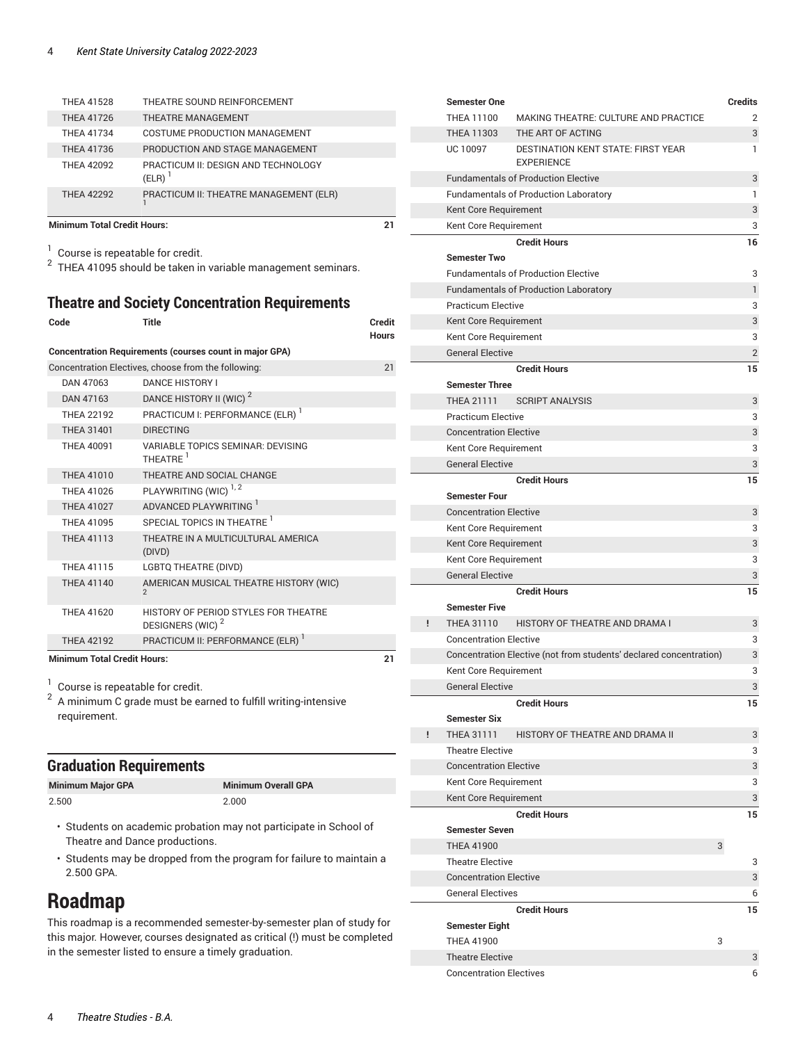| THFA 41528        | THEATRE SOUND REINFORCEMENT                                 |
|-------------------|-------------------------------------------------------------|
| THEA 41726        | <b>THEATRE MANAGEMENT</b>                                   |
| THFA 41734        | COSTUME PRODUCTION MANAGEMENT                               |
| THEA 41736        | PRODUCTION AND STAGE MANAGEMENT                             |
| THFA 42092        | PRACTICUM II: DESIGN AND TECHNOLOGY<br>$(ELR)$ <sup>1</sup> |
| <b>THEA 42292</b> | PRACTICUM II: THEATRE MANAGEMENT (ELR)                      |

**Minimum Total Credit Hours: 21**

 $1$  Course is repeatable for credit.

 $^2$  THEA 41095 should be taken in variable management seminars.

#### <span id="page-3-0"></span>**Theatre and Society Concentration Requirements**

| Code                                                           | Title                                                                | Credit<br><b>Hours</b> |  |  |
|----------------------------------------------------------------|----------------------------------------------------------------------|------------------------|--|--|
| <b>Concentration Requirements (courses count in major GPA)</b> |                                                                      |                        |  |  |
|                                                                | Concentration Electives, choose from the following:                  | 21                     |  |  |
| DAN 47063                                                      | <b>DANCE HISTORY I</b>                                               |                        |  |  |
| DAN 47163                                                      | DANCE HISTORY II (WIC) <sup>2</sup>                                  |                        |  |  |
| <b>THEA 22192</b>                                              | PRACTICUM I: PERFORMANCE (ELR) <sup>1</sup>                          |                        |  |  |
| <b>THEA 31401</b>                                              | <b>DIRECTING</b>                                                     |                        |  |  |
| <b>THEA 40091</b>                                              | VARIABLE TOPICS SEMINAR: DEVISING<br>THEATRE <sup>1</sup>            |                        |  |  |
| <b>THEA 41010</b>                                              | THEATRE AND SOCIAL CHANGE                                            |                        |  |  |
| THEA 41026                                                     | PLAYWRITING (WIC) <sup>1,2</sup>                                     |                        |  |  |
| <b>THEA 41027</b>                                              | ADVANCED PLAYWRITING <sup>1</sup>                                    |                        |  |  |
| THFA 41095                                                     | SPECIAL TOPICS IN THEATRE 1                                          |                        |  |  |
| <b>THEA 41113</b>                                              | THEATRE IN A MULTICULTURAL AMERICA<br>(DIVD)                         |                        |  |  |
| <b>THEA 41115</b>                                              | <b>LGBTQ THEATRE (DIVD)</b>                                          |                        |  |  |
| <b>THEA 41140</b>                                              | AMERICAN MUSICAL THEATRE HISTORY (WIC)                               |                        |  |  |
| THEA 41620                                                     | HISTORY OF PERIOD STYLES FOR THEATRE<br>DESIGNERS (WIC) <sup>2</sup> |                        |  |  |
| <b>THEA 42192</b>                                              | PRACTICUM II: PERFORMANCE (ELR)                                      |                        |  |  |
| <b>Minimum Total Credit Hours:</b>                             |                                                                      |                        |  |  |

1 Course is repeatable for credit.

 $^{\rm 2}$  A minimum C grade must be earned to fulfill writing-intensive requirement.

#### **Graduation Requirements**

| <b>Minimum Major GPA</b> | <b>Minimum Overall GPA</b> |
|--------------------------|----------------------------|
| 2.500                    | 2.000                      |

Г

 $\overline{a}$ 

- Students on academic probation may not participate in School of Theatre and Dance productions.
- Students may be dropped from the program for failure to maintain a 2.500 GPA.

### **Roadmap**

This roadmap is a recommended semester-by-semester plan of study for this major. However, courses designated as critical (!) must be completed in the semester listed to ensure a timely graduation.

|   | <b>Semester One</b>            |                                                                    | Credits        |
|---|--------------------------------|--------------------------------------------------------------------|----------------|
|   | THEA 11100                     | MAKING THEATRE: CULTURE AND PRACTICE                               | 2              |
|   | THEA 11303                     | THE ART OF ACTING                                                  | 3              |
|   | UC 10097                       | <b>DESTINATION KENT STATE: FIRST YEAR</b><br><b>EXPERIENCE</b>     | 1              |
|   |                                | <b>Fundamentals of Production Elective</b>                         | 3              |
|   |                                | <b>Fundamentals of Production Laboratory</b>                       | 1              |
|   | Kent Core Requirement          |                                                                    | 3              |
|   | Kent Core Requirement          |                                                                    | 3              |
|   |                                | <b>Credit Hours</b>                                                | 16             |
|   | <b>Semester Two</b>            |                                                                    |                |
|   |                                | <b>Fundamentals of Production Elective</b>                         | 3              |
|   |                                | <b>Fundamentals of Production Laboratory</b>                       | $\mathbf{1}$   |
|   | <b>Practicum Elective</b>      |                                                                    | 3              |
|   | Kent Core Requirement          |                                                                    | 3              |
|   | Kent Core Requirement          |                                                                    | 3              |
|   | <b>General Elective</b>        |                                                                    | $\overline{2}$ |
|   |                                | <b>Credit Hours</b>                                                | 15             |
|   | <b>Semester Three</b>          |                                                                    |                |
|   | <b>THEA 21111</b>              | <b>SCRIPT ANALYSIS</b>                                             | 3              |
|   | <b>Practicum Elective</b>      |                                                                    | 3              |
|   | <b>Concentration Elective</b>  |                                                                    | 3              |
|   | Kent Core Requirement          |                                                                    | 3              |
|   | <b>General Elective</b>        |                                                                    | 3              |
|   |                                | <b>Credit Hours</b>                                                | 15             |
|   | <b>Semester Four</b>           |                                                                    |                |
|   | <b>Concentration Elective</b>  |                                                                    | 3              |
|   | Kent Core Requirement          |                                                                    | 3              |
|   | Kent Core Requirement          |                                                                    | 3              |
|   | Kent Core Requirement          |                                                                    | 3              |
|   | <b>General Elective</b>        |                                                                    | 3              |
|   |                                | <b>Credit Hours</b>                                                | 15             |
|   | <b>Semester Five</b>           |                                                                    |                |
| ŗ | THEA 31110                     | HISTORY OF THEATRE AND DRAMA I                                     | 3              |
|   | <b>Concentration Elective</b>  |                                                                    | 3              |
|   |                                | Concentration Elective (not from students' declared concentration) | 3              |
|   | Kent Core Requirement          |                                                                    | 3              |
|   | <b>General Elective</b>        |                                                                    | 3              |
|   |                                | <b>Credit Hours</b>                                                | 15             |
|   | <b>Semester Six</b>            |                                                                    |                |
| ŗ | THEA 31111                     | HISTORY OF THEATRE AND DRAMA II                                    | 3              |
|   | <b>Theatre Elective</b>        |                                                                    | 3              |
|   | <b>Concentration Elective</b>  |                                                                    | 3              |
|   | Kent Core Requirement          |                                                                    | 3              |
|   | Kent Core Requirement          |                                                                    | 3              |
|   |                                | <b>Credit Hours</b>                                                | 15             |
|   | <b>Semester Seven</b>          |                                                                    |                |
|   | <b>THEA 41900</b>              | 3                                                                  |                |
|   | <b>Theatre Elective</b>        |                                                                    | 3              |
|   | <b>Concentration Elective</b>  |                                                                    | 3              |
|   | <b>General Electives</b>       |                                                                    | 6              |
|   |                                | <b>Credit Hours</b>                                                | 15             |
|   | <b>Semester Eight</b>          |                                                                    |                |
|   | <b>THEA 41900</b>              | 3                                                                  |                |
|   | <b>Theatre Elective</b>        |                                                                    | 3              |
|   | <b>Concentration Electives</b> |                                                                    | 6              |